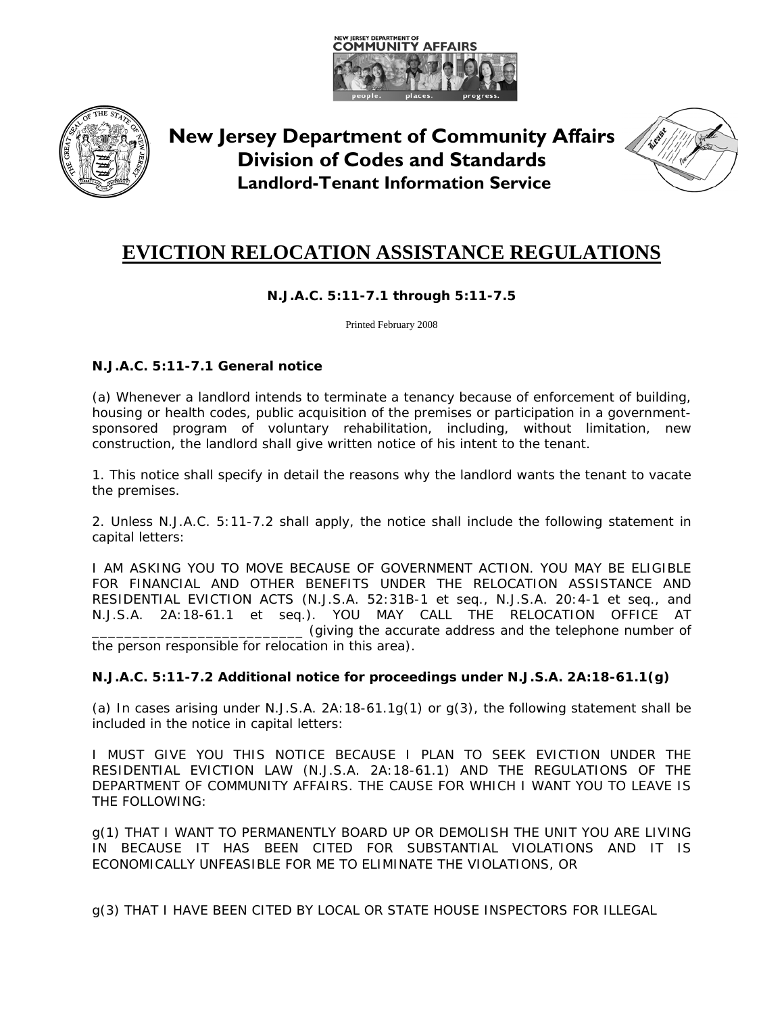



**New Jersey Department of Community Affairs Division of Codes and Standards Landlord-Tenant Information Service**



# **EVICTION RELOCATION ASSISTANCE REGULATIONS**

# **N.J.A.C. 5:11-7.1 through 5:11-7.5**

Printed February 2008

# **N.J.A.C. 5:11-7.1 General notice**

(a) Whenever a landlord intends to terminate a tenancy because of enforcement of building, housing or health codes, public acquisition of the premises or participation in a governmentsponsored program of voluntary rehabilitation, including, without limitation, new construction, the landlord shall give written notice of his intent to the tenant.

1. This notice shall specify in detail the reasons why the landlord wants the tenant to vacate the premises.

2. Unless N.J.A.C. 5:11-7.2 shall apply, the notice shall include the following statement in capital letters:

I AM ASKING YOU TO MOVE BECAUSE OF GOVERNMENT ACTION. YOU MAY BE ELIGIBLE FOR FINANCIAL AND OTHER BENEFITS UNDER THE RELOCATION ASSISTANCE AND RESIDENTIAL EVICTION ACTS (N.J.S.A. 52:31B-1 et seq., N.J.S.A. 20:4-1 et seq., and N.J.S.A. 2A:18-61.1 et seq.). YOU MAY CALL THE RELOCATION OFFICE AT \_\_\_\_\_\_\_\_\_\_\_\_\_\_\_\_\_\_\_\_\_\_\_\_\_\_ (giving the accurate address and the telephone number of the person responsible for relocation in this area).

## **N.J.A.C. 5:11-7.2 Additional notice for proceedings under N.J.S.A. 2A:18-61.1(g)**

(a) In cases arising under N.J.S.A. 2A:18-61.1g(1) or g(3), the following statement shall be included in the notice in capital letters:

I MUST GIVE YOU THIS NOTICE BECAUSE I PLAN TO SEEK EVICTION UNDER THE RESIDENTIAL EVICTION LAW (N.J.S.A. 2A:18-61.1) AND THE REGULATIONS OF THE DEPARTMENT OF COMMUNITY AFFAIRS. THE CAUSE FOR WHICH I WANT YOU TO LEAVE IS THE FOLLOWING:

g(1) THAT I WANT TO PERMANENTLY BOARD UP OR DEMOLISH THE UNIT YOU ARE LIVING IN BECAUSE IT HAS BEEN CITED FOR SUBSTANTIAL VIOLATIONS AND IT IS ECONOMICALLY UNFEASIBLE FOR ME TO ELIMINATE THE VIOLATIONS, OR

g(3) THAT I HAVE BEEN CITED BY LOCAL OR STATE HOUSE INSPECTORS FOR ILLEGAL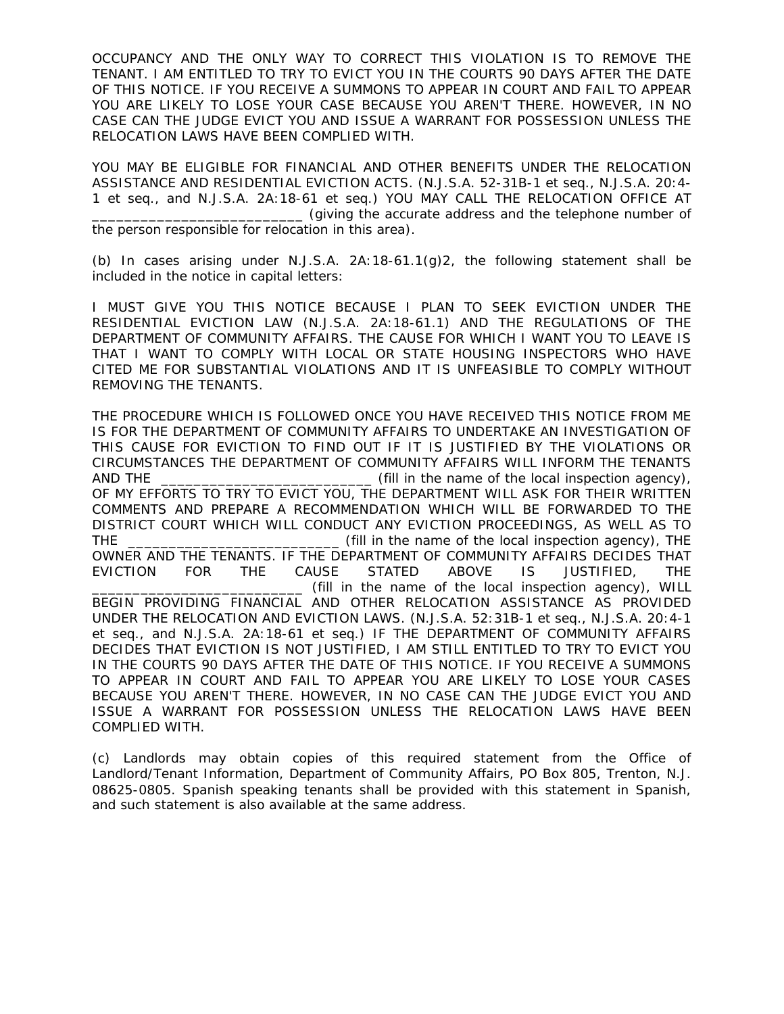OCCUPANCY AND THE ONLY WAY TO CORRECT THIS VIOLATION IS TO REMOVE THE TENANT. I AM ENTITLED TO TRY TO EVICT YOU IN THE COURTS 90 DAYS AFTER THE DATE OF THIS NOTICE. IF YOU RECEIVE A SUMMONS TO APPEAR IN COURT AND FAIL TO APPEAR YOU ARE LIKELY TO LOSE YOUR CASE BECAUSE YOU AREN'T THERE. HOWEVER, IN NO CASE CAN THE JUDGE EVICT YOU AND ISSUE A WARRANT FOR POSSESSION UNLESS THE RELOCATION LAWS HAVE BEEN COMPLIED WITH.

YOU MAY BE ELIGIBLE FOR FINANCIAL AND OTHER BENEFITS UNDER THE RELOCATION ASSISTANCE AND RESIDENTIAL EVICTION ACTS. (N.J.S.A. 52-31B-1 et seq., N.J.S.A. 20:4- 1 et seq., and N.J.S.A. 2A:18-61 et seq.) YOU MAY CALL THE RELOCATION OFFICE AT \_\_\_\_\_\_\_\_\_\_\_\_\_\_\_\_\_\_\_\_\_\_\_\_\_\_ (giving the accurate address and the telephone number of the person responsible for relocation in this area).

(b) In cases arising under N.J.S.A. 2A:18-61.1(g)2, the following statement shall be included in the notice in capital letters:

I MUST GIVE YOU THIS NOTICE BECAUSE I PLAN TO SEEK EVICTION UNDER THE RESIDENTIAL EVICTION LAW (N.J.S.A. 2A:18-61.1) AND THE REGULATIONS OF THE DEPARTMENT OF COMMUNITY AFFAIRS. THE CAUSE FOR WHICH I WANT YOU TO LEAVE IS THAT I WANT TO COMPLY WITH LOCAL OR STATE HOUSING INSPECTORS WHO HAVE CITED ME FOR SUBSTANTIAL VIOLATIONS AND IT IS UNFEASIBLE TO COMPLY WITHOUT REMOVING THE TENANTS.

THE PROCEDURE WHICH IS FOLLOWED ONCE YOU HAVE RECEIVED THIS NOTICE FROM ME IS FOR THE DEPARTMENT OF COMMUNITY AFFAIRS TO UNDERTAKE AN INVESTIGATION OF THIS CAUSE FOR EVICTION TO FIND OUT IF IT IS JUSTIFIED BY THE VIOLATIONS OR CIRCUMSTANCES THE DEPARTMENT OF COMMUNITY AFFAIRS WILL INFORM THE TENANTS AND THE **EXECUTE:** (fill in the name of the local inspection agency), OF MY EFFORTS TO TRY TO EVICT YOU, THE DEPARTMENT WILL ASK FOR THEIR WRITTEN COMMENTS AND PREPARE A RECOMMENDATION WHICH WILL BE FORWARDED TO THE DISTRICT COURT WHICH WILL CONDUCT ANY EVICTION PROCEEDINGS, AS WELL AS TO THE \_\_\_\_\_\_\_\_\_\_\_\_\_\_\_\_\_\_\_\_\_\_\_\_\_\_ (fill in the name of the local inspection agency), THE OWNER AND THE TENANTS. IF THE DEPARTMENT OF COMMUNITY AFFAIRS DECIDES THAT EVICTION FOR THE CAUSE STATED ABOVE IS JUSTIFIED, THE \_\_\_\_\_\_\_\_\_\_\_\_\_\_\_\_\_\_\_\_\_\_\_\_\_\_ (fill in the name of the local inspection agency), WILL BEGIN PROVIDING FINANCIAL AND OTHER RELOCATION ASSISTANCE AS PROVIDED UNDER THE RELOCATION AND EVICTION LAWS. (N.J.S.A. 52:31B-1 et seq., N.J.S.A. 20:4-1 et seq., and N.J.S.A. 2A:18-61 et seq.) IF THE DEPARTMENT OF COMMUNITY AFFAIRS DECIDES THAT EVICTION IS NOT JUSTIFIED, I AM STILL ENTITLED TO TRY TO EVICT YOU IN THE COURTS 90 DAYS AFTER THE DATE OF THIS NOTICE. IF YOU RECEIVE A SUMMONS TO APPEAR IN COURT AND FAIL TO APPEAR YOU ARE LIKELY TO LOSE YOUR CASES BECAUSE YOU AREN'T THERE. HOWEVER, IN NO CASE CAN THE JUDGE EVICT YOU AND ISSUE A WARRANT FOR POSSESSION UNLESS THE RELOCATION LAWS HAVE BEEN COMPLIED WITH.

(c) Landlords may obtain copies of this required statement from the Office of Landlord/Tenant Information, Department of Community Affairs, PO Box 805, Trenton, N.J. 08625-0805. Spanish speaking tenants shall be provided with this statement in Spanish, and such statement is also available at the same address.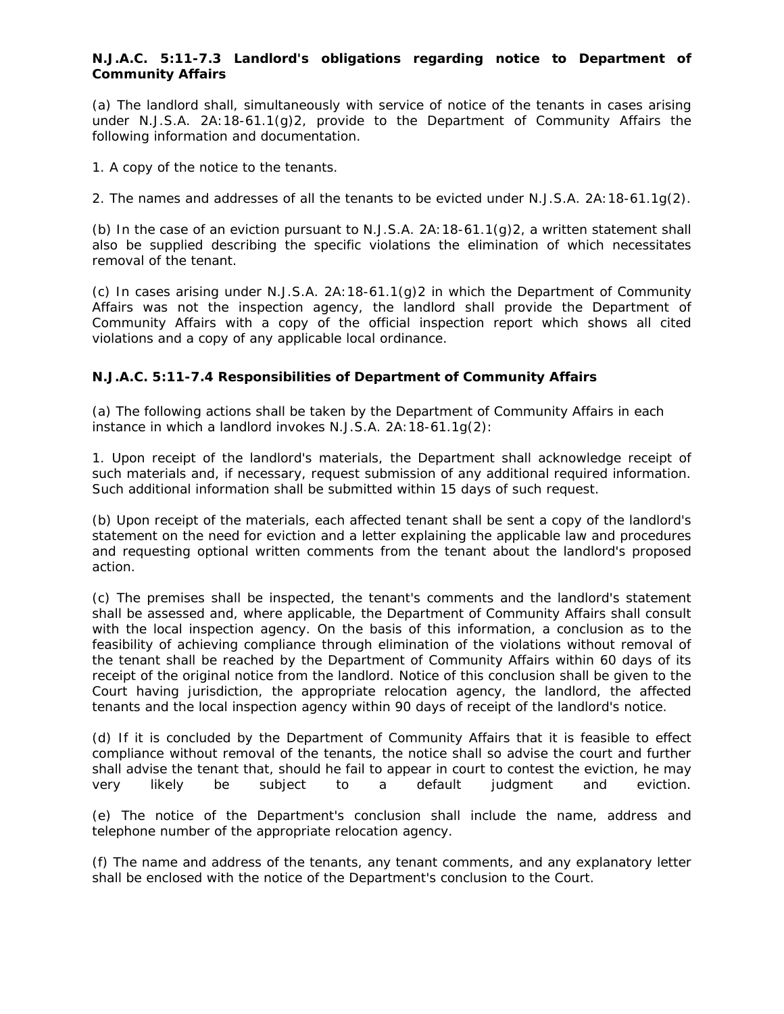#### **N.J.A.C. 5:11-7.3 Landlord's obligations regarding notice to Department of Community Affairs**

(a) The landlord shall, simultaneously with service of notice of the tenants in cases arising under N.J.S.A. 2A:18-61.1(g)2, provide to the Department of Community Affairs the following information and documentation.

1. A copy of the notice to the tenants.

2. The names and addresses of all the tenants to be evicted under N.J.S.A. 2A:18-61.1g(2).

(b) In the case of an eviction pursuant to N.J.S.A.  $2A:18-61.1(q)2$ , a written statement shall also be supplied describing the specific violations the elimination of which necessitates removal of the tenant.

(c) In cases arising under N.J.S.A. 2A:18-61.1(g)2 in which the Department of Community Affairs was not the inspection agency, the landlord shall provide the Department of Community Affairs with a copy of the official inspection report which shows all cited violations and a copy of any applicable local ordinance.

#### **N.J.A.C. 5:11-7.4 Responsibilities of Department of Community Affairs**

(a) The following actions shall be taken by the Department of Community Affairs in each instance in which a landlord invokes N.J.S.A. 2A:18-61.1g(2):

1. Upon receipt of the landlord's materials, the Department shall acknowledge receipt of such materials and, if necessary, request submission of any additional required information. Such additional information shall be submitted within 15 days of such request.

(b) Upon receipt of the materials, each affected tenant shall be sent a copy of the landlord's statement on the need for eviction and a letter explaining the applicable law and procedures and requesting optional written comments from the tenant about the landlord's proposed action.

(c) The premises shall be inspected, the tenant's comments and the landlord's statement shall be assessed and, where applicable, the Department of Community Affairs shall consult with the local inspection agency. On the basis of this information, a conclusion as to the feasibility of achieving compliance through elimination of the violations without removal of the tenant shall be reached by the Department of Community Affairs within 60 days of its receipt of the original notice from the landlord. Notice of this conclusion shall be given to the Court having jurisdiction, the appropriate relocation agency, the landlord, the affected tenants and the local inspection agency within 90 days of receipt of the landlord's notice.

(d) If it is concluded by the Department of Community Affairs that it is feasible to effect compliance without removal of the tenants, the notice shall so advise the court and further shall advise the tenant that, should he fail to appear in court to contest the eviction, he may very likely be subject to a default judgment and eviction.

(e) The notice of the Department's conclusion shall include the name, address and telephone number of the appropriate relocation agency.

(f) The name and address of the tenants, any tenant comments, and any explanatory letter shall be enclosed with the notice of the Department's conclusion to the Court.